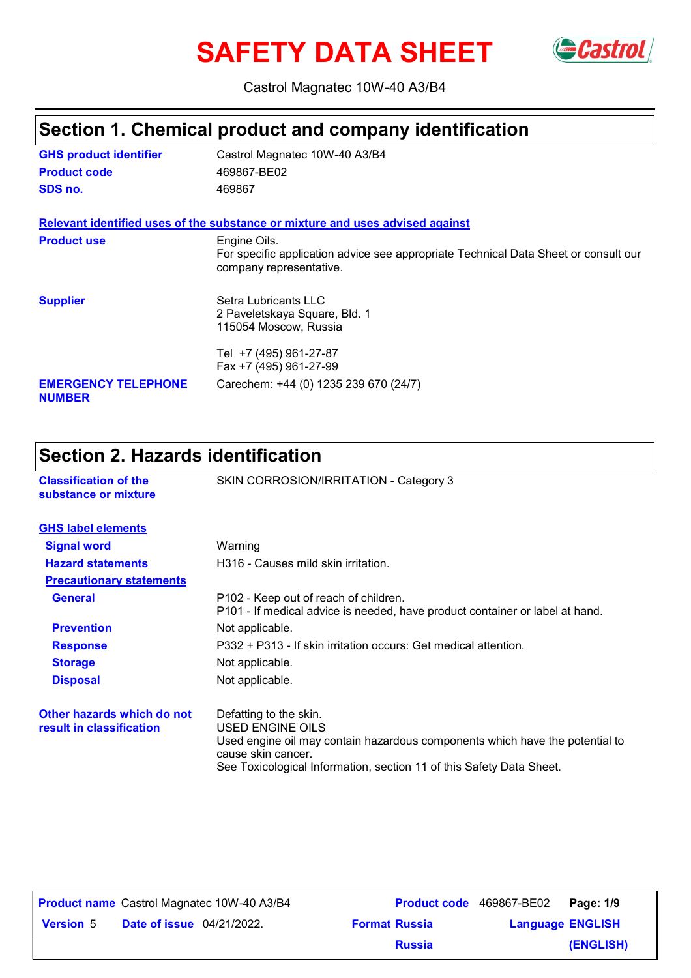# **SAFETY DATA SHEET** Gastrol



Castrol Magnatec 10W-40 A3/B4

### **Section 1. Chemical product and company identification**

| <b>GHS product identifier</b> | Castrol Magnatec 10W-40 A3/B4                                                                                                  |  |  |
|-------------------------------|--------------------------------------------------------------------------------------------------------------------------------|--|--|
| <b>Product code</b>           | 469867-BE02                                                                                                                    |  |  |
| SDS no.                       | 469867                                                                                                                         |  |  |
|                               | Relevant identified uses of the substance or mixture and uses advised against                                                  |  |  |
| <b>Product use</b>            | Engine Oils.<br>For specific application advice see appropriate Technical Data Sheet or consult our<br>company representative. |  |  |
| <b>Supplier</b>               | Setra Lubricants LLC<br>2 Paveletskaya Square, Bld. 1<br>115054 Moscow, Russia                                                 |  |  |
| <b>EMERGENCY TELEPHONE</b>    | Tel +7 (495) 961-27-87<br>Fax +7 (495) 961-27-99                                                                               |  |  |
| <b>NUMBER</b>                 | Carechem: +44 (0) 1235 239 670 (24/7)                                                                                          |  |  |

### **Section 2. Hazards identification**

| <b>Classification of the</b><br>substance or mixture   | SKIN CORROSION/IRRITATION - Category 3                                                                                                                                                                                   |  |  |
|--------------------------------------------------------|--------------------------------------------------------------------------------------------------------------------------------------------------------------------------------------------------------------------------|--|--|
| <b>GHS label elements</b>                              |                                                                                                                                                                                                                          |  |  |
| <b>Signal word</b>                                     | Warning                                                                                                                                                                                                                  |  |  |
| <b>Hazard statements</b>                               | H316 - Causes mild skin irritation.                                                                                                                                                                                      |  |  |
| <b>Precautionary statements</b>                        |                                                                                                                                                                                                                          |  |  |
| <b>General</b>                                         | P102 - Keep out of reach of children.<br>P101 - If medical advice is needed, have product container or label at hand.                                                                                                    |  |  |
| <b>Prevention</b>                                      | Not applicable.                                                                                                                                                                                                          |  |  |
| <b>Response</b>                                        | P332 + P313 - If skin irritation occurs: Get medical attention.                                                                                                                                                          |  |  |
| <b>Storage</b>                                         | Not applicable.                                                                                                                                                                                                          |  |  |
| <b>Disposal</b>                                        | Not applicable.                                                                                                                                                                                                          |  |  |
| Other hazards which do not<br>result in classification | Defatting to the skin.<br>USED ENGINE OILS<br>Used engine oil may contain hazardous components which have the potential to<br>cause skin cancer.<br>See Toxicological Information, section 11 of this Safety Data Sheet. |  |  |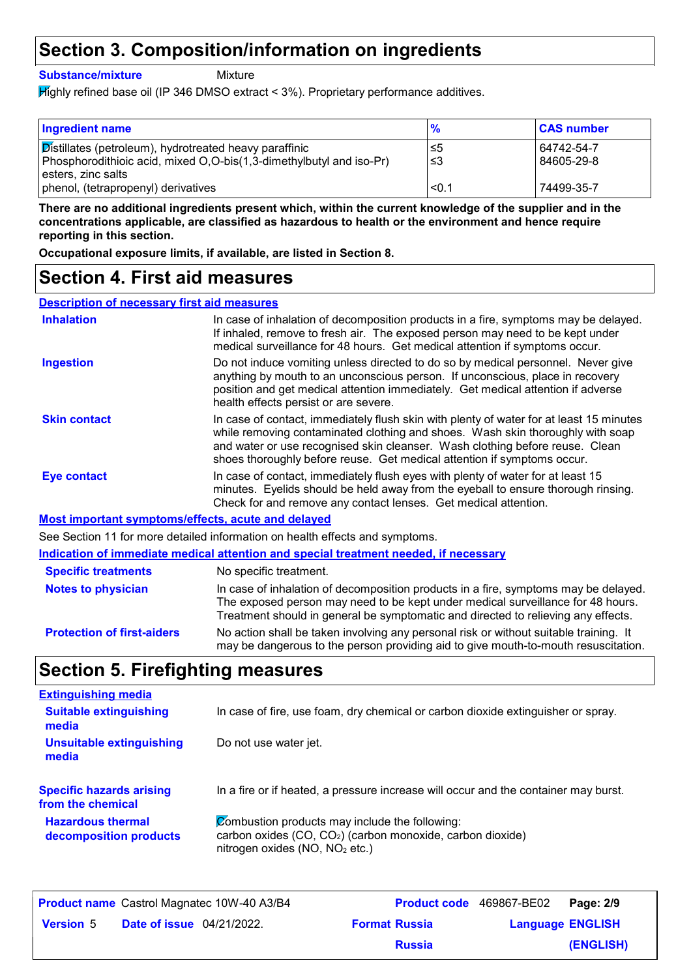# **Section 3. Composition/information on ingredients**

**Substance/mixture**

Mixture

Highly refined base oil (IP 346 DMSO extract < 3%). Proprietary performance additives.

| <b>Ingredient name</b>                                                                                                               | $\frac{9}{6}$ | <b>CAS number</b>        |
|--------------------------------------------------------------------------------------------------------------------------------------|---------------|--------------------------|
| <b>Distillates (petroleum), hydrotreated heavy paraffinic</b><br>Phosphorodithioic acid, mixed O,O-bis(1,3-dimethylbutyl and iso-Pr) | ∣≤5<br>∍≤3    | 64742-54-7<br>84605-29-8 |
| l esters. zinc salts                                                                                                                 |               |                          |
| phenol, (tetrapropenyl) derivatives                                                                                                  | < 0.1         | 74499-35-7               |

**There are no additional ingredients present which, within the current knowledge of the supplier and in the concentrations applicable, are classified as hazardous to health or the environment and hence require reporting in this section.**

**Occupational exposure limits, if available, are listed in Section 8.**

### **Section 4. First aid measures**

| <b>Description of necessary first aid measures</b> |                                                                                                                                                                                                                                                                                                                                      |
|----------------------------------------------------|--------------------------------------------------------------------------------------------------------------------------------------------------------------------------------------------------------------------------------------------------------------------------------------------------------------------------------------|
| <b>Inhalation</b>                                  | In case of inhalation of decomposition products in a fire, symptoms may be delayed.<br>If inhaled, remove to fresh air. The exposed person may need to be kept under<br>medical surveillance for 48 hours. Get medical attention if symptoms occur.                                                                                  |
| <b>Ingestion</b>                                   | Do not induce vomiting unless directed to do so by medical personnel. Never give<br>anything by mouth to an unconscious person. If unconscious, place in recovery<br>position and get medical attention immediately. Get medical attention if adverse<br>health effects persist or are severe.                                       |
| <b>Skin contact</b>                                | In case of contact, immediately flush skin with plenty of water for at least 15 minutes<br>while removing contaminated clothing and shoes. Wash skin thoroughly with soap<br>and water or use recognised skin cleanser. Wash clothing before reuse. Clean<br>shoes thoroughly before reuse. Get medical attention if symptoms occur. |
| <b>Eye contact</b>                                 | In case of contact, immediately flush eyes with plenty of water for at least 15<br>minutes. Eyelids should be held away from the eyeball to ensure thorough rinsing.<br>Check for and remove any contact lenses. Get medical attention.                                                                                              |
| Most important symptoms/effects, acute and delayed |                                                                                                                                                                                                                                                                                                                                      |
|                                                    | See Section 11 for more detailed information on health effects and symptoms.                                                                                                                                                                                                                                                         |
|                                                    | <u>Indication of immediate medical attention and special treatment needed, if necessary</u>                                                                                                                                                                                                                                          |
| <b>Specific treatments</b>                         | No specific treatment.                                                                                                                                                                                                                                                                                                               |
| <b>Notes to physician</b>                          | In case of inhalation of decomposition products in a fire, symptoms may be delayed.<br>The exposed person may need to be kept under medical surveillance for 48 hours.<br>Treatment should in general be symptomatic and directed to relieving any effects.                                                                          |
| <b>Protection of first-aiders</b>                  | No action shall be taken involving any personal risk or without suitable training. It<br>may be dangerous to the person providing aid to give mouth-to-mouth resuscitation.                                                                                                                                                          |
|                                                    |                                                                                                                                                                                                                                                                                                                                      |

### **Section 5. Firefighting measures**

| <b>Extinguishing media</b>                           |                                                                                                                                                                        |
|------------------------------------------------------|------------------------------------------------------------------------------------------------------------------------------------------------------------------------|
| <b>Suitable extinguishing</b><br>media               | In case of fire, use foam, dry chemical or carbon dioxide extinguisher or spray.                                                                                       |
| <b>Unsuitable extinguishing</b><br>media             | Do not use water jet.                                                                                                                                                  |
| <b>Specific hazards arising</b><br>from the chemical | In a fire or if heated, a pressure increase will occur and the container may burst.                                                                                    |
| <b>Hazardous thermal</b><br>decomposition products   | Combustion products may include the following:<br>carbon oxides (CO, CO <sub>2</sub> ) (carbon monoxide, carbon dioxide)<br>nitrogen oxides (NO, NO <sub>2</sub> etc.) |

|                  |                                  | <b>Product name</b> Castrol Magnatec 10W-40 A3/B4 | <b>Product code</b> 469867-BE02 |                         | Page: 2/9 |
|------------------|----------------------------------|---------------------------------------------------|---------------------------------|-------------------------|-----------|
| <b>Version 5</b> | <b>Date of issue</b> 04/21/2022. |                                                   | <b>Format Russia</b>            | <b>Language ENGLISH</b> |           |
|                  |                                  |                                                   | <b>Russia</b>                   |                         | (ENGLISH) |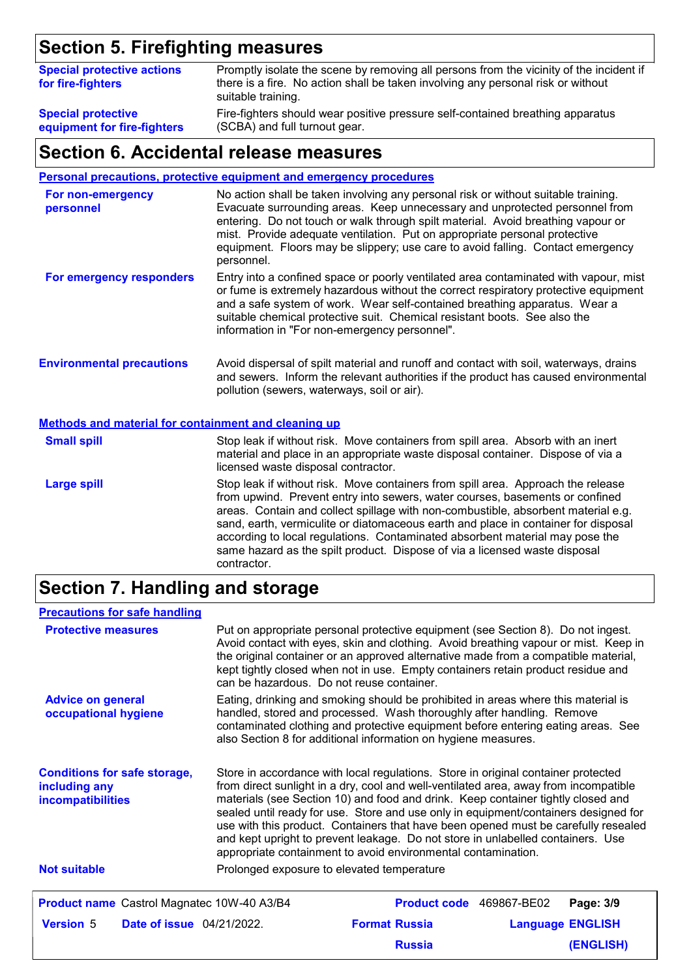# **Section 5. Firefighting measures**

| <b>Special protective actions</b><br>for fire-fighters | Promptly isolate the scene by removing all persons from the vicinity of the incident if<br>there is a fire. No action shall be taken involving any personal risk or without<br>suitable training. |
|--------------------------------------------------------|---------------------------------------------------------------------------------------------------------------------------------------------------------------------------------------------------|
| <b>Special protective</b>                              | Fire-fighters should wear positive pressure self-contained breathing apparatus                                                                                                                    |
| equipment for fire-fighters                            | (SCBA) and full turnout gear.                                                                                                                                                                     |

### **Section 6. Accidental release measures**

**Personal precautions, protective equipment and emergency procedures**

| For non-emergency<br>personnel                              | No action shall be taken involving any personal risk or without suitable training.<br>Evacuate surrounding areas. Keep unnecessary and unprotected personnel from<br>entering. Do not touch or walk through spilt material. Avoid breathing vapour or<br>mist. Provide adequate ventilation. Put on appropriate personal protective<br>equipment. Floors may be slippery; use care to avoid falling. Contact emergency<br>personnel. |  |  |
|-------------------------------------------------------------|--------------------------------------------------------------------------------------------------------------------------------------------------------------------------------------------------------------------------------------------------------------------------------------------------------------------------------------------------------------------------------------------------------------------------------------|--|--|
| For emergency responders                                    | Entry into a confined space or poorly ventilated area contaminated with vapour, mist<br>or fume is extremely hazardous without the correct respiratory protective equipment<br>and a safe system of work. Wear self-contained breathing apparatus. Wear a<br>suitable chemical protective suit. Chemical resistant boots. See also the<br>information in "For non-emergency personnel".                                              |  |  |
| <b>Environmental precautions</b>                            | Avoid dispersal of spilt material and runoff and contact with soil, waterways, drains<br>and sewers. Inform the relevant authorities if the product has caused environmental<br>pollution (sewers, waterways, soil or air).                                                                                                                                                                                                          |  |  |
| <b>Methods and material for containment and cleaning up</b> |                                                                                                                                                                                                                                                                                                                                                                                                                                      |  |  |
| <b>Small spill</b>                                          | Stop leak if without risk. Move containers from spill area. Absorb with an inert<br>material and place in an appropriate waste disposal container. Dispose of via a<br>licensed waste disposal contractor.                                                                                                                                                                                                                           |  |  |
| <b>Large spill</b>                                          | Stop leak if without risk. Move containers from spill area. Approach the release<br>from upwind. Prevent entry into sewers, water courses, basements or confined                                                                                                                                                                                                                                                                     |  |  |

areas. Contain and collect spillage with non-combustible, absorbent material e.g. sand, earth, vermiculite or diatomaceous earth and place in container for disposal according to local regulations. Contaminated absorbent material may pose the same hazard as the spilt product. Dispose of via a licensed waste disposal contractor.

# **Section 7. Handling and storage**

| <b>Precautions for safe handling</b>                                                                                                                                                                                                                                                                                                                                                                                                                                                                                                                                                                                                                                        |                         |
|-----------------------------------------------------------------------------------------------------------------------------------------------------------------------------------------------------------------------------------------------------------------------------------------------------------------------------------------------------------------------------------------------------------------------------------------------------------------------------------------------------------------------------------------------------------------------------------------------------------------------------------------------------------------------------|-------------------------|
| <b>Protective measures</b><br>Put on appropriate personal protective equipment (see Section 8). Do not ingest.<br>Avoid contact with eyes, skin and clothing. Avoid breathing vapour or mist. Keep in<br>the original container or an approved alternative made from a compatible material,<br>kept tightly closed when not in use. Empty containers retain product residue and<br>can be hazardous. Do not reuse container.                                                                                                                                                                                                                                                |                         |
| Eating, drinking and smoking should be prohibited in areas where this material is<br><b>Advice on general</b><br>handled, stored and processed. Wash thoroughly after handling. Remove<br>occupational hygiene<br>contaminated clothing and protective equipment before entering eating areas. See<br>also Section 8 for additional information on hygiene measures.                                                                                                                                                                                                                                                                                                        |                         |
|                                                                                                                                                                                                                                                                                                                                                                                                                                                                                                                                                                                                                                                                             |                         |
| Store in accordance with local regulations. Store in original container protected<br><b>Conditions for safe storage,</b><br>from direct sunlight in a dry, cool and well-ventilated area, away from incompatible<br>including any<br>materials (see Section 10) and food and drink. Keep container tightly closed and<br>incompatibilities<br>sealed until ready for use. Store and use only in equipment/containers designed for<br>use with this product. Containers that have been opened must be carefully resealed<br>and kept upright to prevent leakage. Do not store in unlabelled containers. Use<br>appropriate containment to avoid environmental contamination. |                         |
| <b>Not suitable</b><br>Prolonged exposure to elevated temperature                                                                                                                                                                                                                                                                                                                                                                                                                                                                                                                                                                                                           |                         |
| Product name Castrol Magnatec 10W-40 A3/B4<br>Product code 469867-BE02                                                                                                                                                                                                                                                                                                                                                                                                                                                                                                                                                                                                      | Page: 3/9               |
| <b>Format Russia</b><br><b>Version 5</b><br><b>Date of issue</b> 04/21/2022.                                                                                                                                                                                                                                                                                                                                                                                                                                                                                                                                                                                                | <b>Language ENGLISH</b> |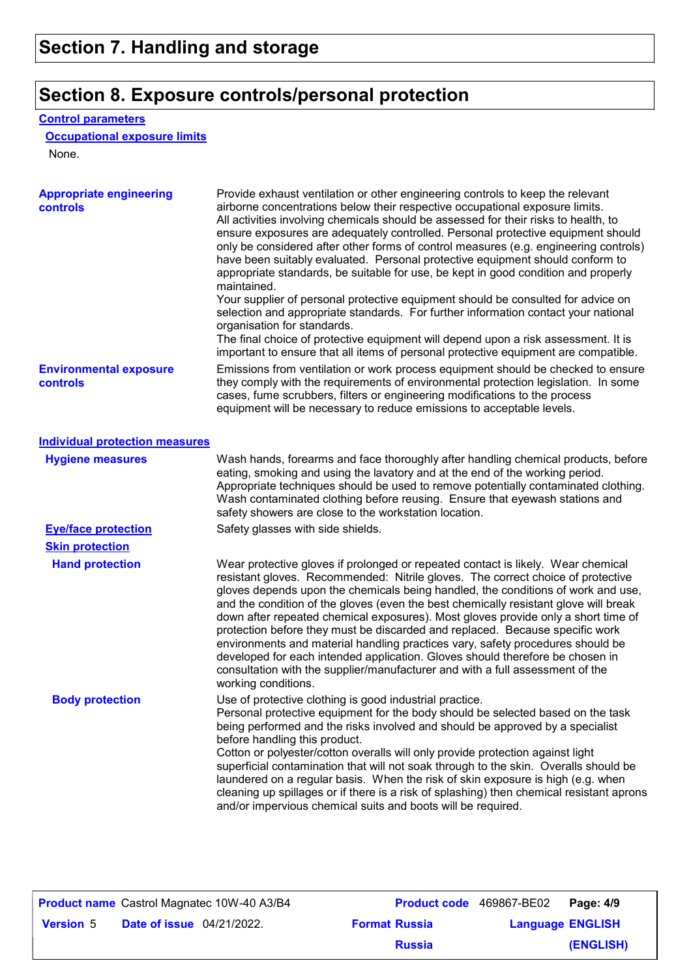# **Section 8. Exposure controls/personal protection**

### **Control parameters**

### **Occupational exposure limits**

None.

| <b>Appropriate engineering</b><br><b>controls</b> | Provide exhaust ventilation or other engineering controls to keep the relevant<br>airborne concentrations below their respective occupational exposure limits.<br>All activities involving chemicals should be assessed for their risks to health, to<br>ensure exposures are adequately controlled. Personal protective equipment should<br>only be considered after other forms of control measures (e.g. engineering controls)<br>have been suitably evaluated. Personal protective equipment should conform to<br>appropriate standards, be suitable for use, be kept in good condition and properly<br>maintained.<br>Your supplier of personal protective equipment should be consulted for advice on<br>selection and appropriate standards. For further information contact your national<br>organisation for standards.<br>The final choice of protective equipment will depend upon a risk assessment. It is<br>important to ensure that all items of personal protective equipment are compatible. |
|---------------------------------------------------|---------------------------------------------------------------------------------------------------------------------------------------------------------------------------------------------------------------------------------------------------------------------------------------------------------------------------------------------------------------------------------------------------------------------------------------------------------------------------------------------------------------------------------------------------------------------------------------------------------------------------------------------------------------------------------------------------------------------------------------------------------------------------------------------------------------------------------------------------------------------------------------------------------------------------------------------------------------------------------------------------------------|
| <b>Environmental exposure</b><br>controls         | Emissions from ventilation or work process equipment should be checked to ensure<br>they comply with the requirements of environmental protection legislation. In some<br>cases, fume scrubbers, filters or engineering modifications to the process<br>equipment will be necessary to reduce emissions to acceptable levels.                                                                                                                                                                                                                                                                                                                                                                                                                                                                                                                                                                                                                                                                                 |
| <b>Individual protection measures</b>             |                                                                                                                                                                                                                                                                                                                                                                                                                                                                                                                                                                                                                                                                                                                                                                                                                                                                                                                                                                                                               |
| <b>Hygiene measures</b>                           | Wash hands, forearms and face thoroughly after handling chemical products, before<br>eating, smoking and using the lavatory and at the end of the working period.<br>Appropriate techniques should be used to remove potentially contaminated clothing.<br>Wash contaminated clothing before reusing. Ensure that eyewash stations and<br>safety showers are close to the workstation location.                                                                                                                                                                                                                                                                                                                                                                                                                                                                                                                                                                                                               |
| <b>Eye/face protection</b>                        | Safety glasses with side shields.                                                                                                                                                                                                                                                                                                                                                                                                                                                                                                                                                                                                                                                                                                                                                                                                                                                                                                                                                                             |
| <b>Skin protection</b>                            |                                                                                                                                                                                                                                                                                                                                                                                                                                                                                                                                                                                                                                                                                                                                                                                                                                                                                                                                                                                                               |
| <b>Hand protection</b>                            | Wear protective gloves if prolonged or repeated contact is likely. Wear chemical<br>resistant gloves. Recommended: Nitrile gloves. The correct choice of protective<br>gloves depends upon the chemicals being handled, the conditions of work and use,<br>and the condition of the gloves (even the best chemically resistant glove will break<br>down after repeated chemical exposures). Most gloves provide only a short time of<br>protection before they must be discarded and replaced. Because specific work<br>environments and material handling practices vary, safety procedures should be<br>developed for each intended application. Gloves should therefore be chosen in<br>consultation with the supplier/manufacturer and with a full assessment of the<br>working conditions.                                                                                                                                                                                                               |
| <b>Body protection</b>                            | Use of protective clothing is good industrial practice.<br>Personal protective equipment for the body should be selected based on the task<br>being performed and the risks involved and should be approved by a specialist<br>before handling this product.<br>Cotton or polyester/cotton overalls will only provide protection against light<br>superficial contamination that will not soak through to the skin. Overalls should be<br>laundered on a regular basis. When the risk of skin exposure is high (e.g. when<br>cleaning up spillages or if there is a risk of splashing) then chemical resistant aprons<br>and/or impervious chemical suits and boots will be required.                                                                                                                                                                                                                                                                                                                         |

|                  |                                  | <b>Product name</b> Castrol Magnatec 10W-40 A3/B4 | <b>Product code</b> 469867-BE02 |                         | Page: 4/9 |
|------------------|----------------------------------|---------------------------------------------------|---------------------------------|-------------------------|-----------|
| <b>Version 5</b> | <b>Date of issue</b> 04/21/2022. |                                                   | <b>Format Russia</b>            | <b>Language ENGLISH</b> |           |
|                  |                                  |                                                   | <b>Russia</b>                   |                         | (ENGLISH) |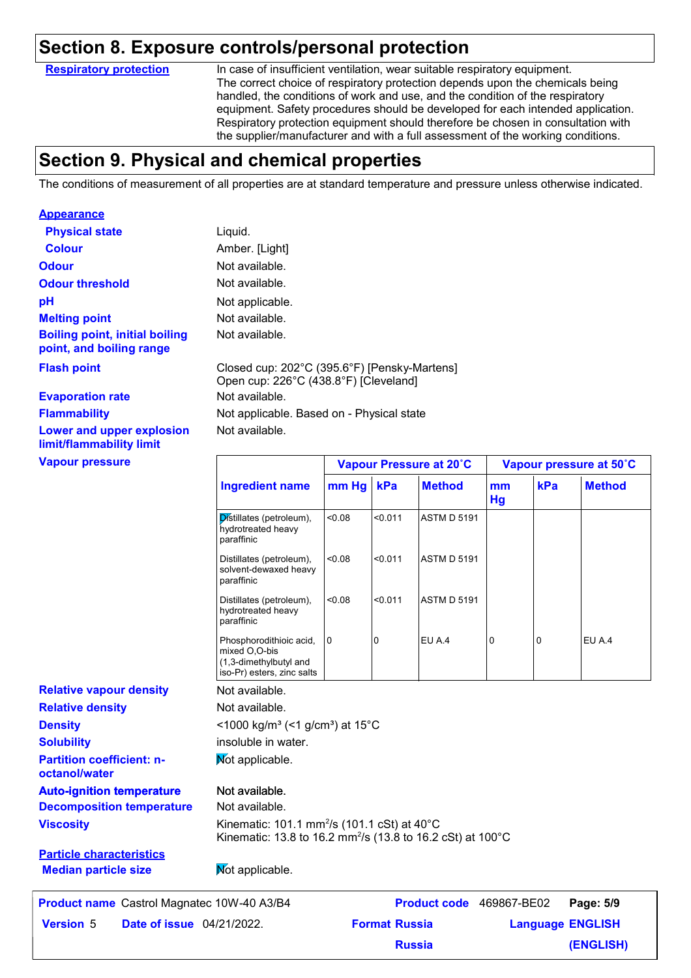### **Section 8. Exposure controls/personal protection**

**Respiratory protection**

In case of insufficient ventilation, wear suitable respiratory equipment. The correct choice of respiratory protection depends upon the chemicals being handled, the conditions of work and use, and the condition of the respiratory equipment. Safety procedures should be developed for each intended application. Respiratory protection equipment should therefore be chosen in consultation with the supplier/manufacturer and with a full assessment of the working conditions.

### **Section 9. Physical and chemical properties**

The conditions of measurement of all properties are at standard temperature and pressure unless otherwise indicated.

| <b>Appearance</b>                                                 |                                       |                                              |                         |
|-------------------------------------------------------------------|---------------------------------------|----------------------------------------------|-------------------------|
| <b>Physical state</b>                                             | Liquid.                               |                                              |                         |
| <b>Colour</b>                                                     | Amber. [Light]                        |                                              |                         |
| <b>Odour</b>                                                      | Not available.                        |                                              |                         |
| <b>Odour threshold</b>                                            | Not available.                        |                                              |                         |
| pH                                                                | Not applicable.                       |                                              |                         |
| <b>Melting point</b>                                              | Not available.                        |                                              |                         |
| <b>Boiling point, initial boiling</b><br>point, and boiling range | Not available.                        |                                              |                         |
| <b>Flash point</b>                                                | Open cup: 226°C (438.8°F) [Cleveland] | Closed cup: 202°C (395.6°F) [Pensky-Martens] |                         |
| <b>Evaporation rate</b>                                           | Not available.                        |                                              |                         |
| <b>Flammability</b>                                               |                                       | Not applicable. Based on - Physical state    |                         |
| Lower and upper explosion<br>limit/flammability limit             | Not available.                        |                                              |                         |
| <b>Vapour pressure</b>                                            |                                       | Vapour Pressure at 20°C                      | Vapour pressure at 50°C |

|                                                      | <b>Ingredient name</b>                                                                                                            | mm Hg  | kPa                  | <b>Method</b>            | mm<br><b>Hg</b> | kPa      | <b>Method</b>           |
|------------------------------------------------------|-----------------------------------------------------------------------------------------------------------------------------------|--------|----------------------|--------------------------|-----------------|----------|-------------------------|
|                                                      | Distillates (petroleum),<br>hydrotreated heavy<br>paraffinic                                                                      | < 0.08 | < 0.011              | <b>ASTM D 5191</b>       |                 |          |                         |
|                                                      | Distillates (petroleum),<br>solvent-dewaxed heavy<br>paraffinic                                                                   | < 0.08 | < 0.011              | <b>ASTM D 5191</b>       |                 |          |                         |
|                                                      | Distillates (petroleum),<br>hydrotreated heavy<br>paraffinic                                                                      | < 0.08 | < 0.011              | <b>ASTM D 5191</b>       |                 |          |                         |
|                                                      | Phosphorodithioic acid,<br>mixed O,O-bis<br>(1,3-dimethylbutyl and<br>iso-Pr) esters, zinc salts                                  | 0      | 0                    | EU A.4                   | 0               | $\Omega$ | EU A.4                  |
| <b>Relative vapour density</b>                       | Not available.                                                                                                                    |        |                      |                          |                 |          |                         |
| <b>Relative density</b>                              | Not available.                                                                                                                    |        |                      |                          |                 |          |                         |
| <b>Density</b>                                       | <1000 kg/m <sup>3</sup> (<1 g/cm <sup>3</sup> ) at 15°C                                                                           |        |                      |                          |                 |          |                         |
| <b>Solubility</b>                                    | insoluble in water.                                                                                                               |        |                      |                          |                 |          |                         |
| <b>Partition coefficient: n-</b><br>octanol/water    | Mot applicable.                                                                                                                   |        |                      |                          |                 |          |                         |
| <b>Auto-ignition temperature</b>                     | Not available.                                                                                                                    |        |                      |                          |                 |          |                         |
| <b>Decomposition temperature</b>                     | Not available.                                                                                                                    |        |                      |                          |                 |          |                         |
| <b>Viscosity</b>                                     | Kinematic: 101.1 mm <sup>2</sup> /s (101.1 cSt) at 40°C<br>Kinematic: 13.8 to 16.2 mm <sup>2</sup> /s (13.8 to 16.2 cSt) at 100°C |        |                      |                          |                 |          |                         |
| <b>Particle characteristics</b>                      |                                                                                                                                   |        |                      |                          |                 |          |                         |
| <b>Median particle size</b>                          | Mot applicable.                                                                                                                   |        |                      |                          |                 |          |                         |
| <b>Product name</b> Castrol Magnatec 10W-40 A3/B4    |                                                                                                                                   |        |                      | Product code 469867-BE02 |                 |          | Page: 5/9               |
| <b>Date of issue</b> 04/21/2022.<br><b>Version 5</b> |                                                                                                                                   |        | <b>Format Russia</b> |                          |                 |          | <b>Language ENGLISH</b> |

**Russia**

**(ENGLISH)**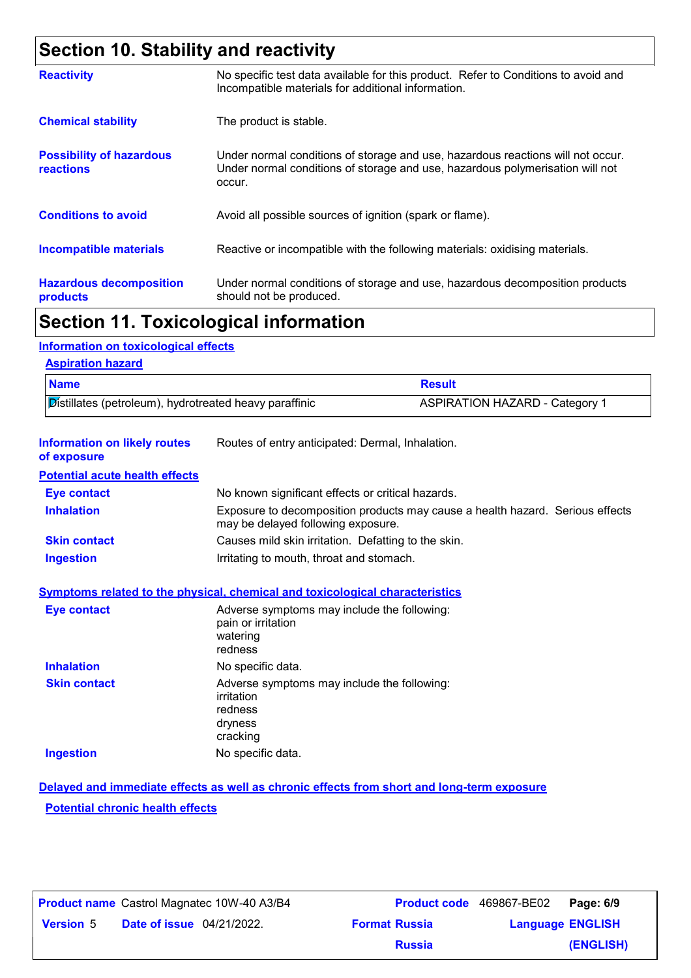# **Section 10. Stability and reactivity**

| <b>Reactivity</b>                            | No specific test data available for this product. Refer to Conditions to avoid and<br>Incompatible materials for additional information.                                   |
|----------------------------------------------|----------------------------------------------------------------------------------------------------------------------------------------------------------------------------|
| <b>Chemical stability</b>                    | The product is stable.                                                                                                                                                     |
| <b>Possibility of hazardous</b><br>reactions | Under normal conditions of storage and use, hazardous reactions will not occur.<br>Under normal conditions of storage and use, hazardous polymerisation will not<br>occur. |
| <b>Conditions to avoid</b>                   | Avoid all possible sources of ignition (spark or flame).                                                                                                                   |
| Incompatible materials                       | Reactive or incompatible with the following materials: oxidising materials.                                                                                                |
| <b>Hazardous decomposition</b><br>products   | Under normal conditions of storage and use, hazardous decomposition products<br>should not be produced.                                                                    |

### **Section 11. Toxicological information**

### **Information on toxicological effects**

| <b>Name</b>                                            |                                                                                                                                                   | <b>Result</b>                                                                 |
|--------------------------------------------------------|---------------------------------------------------------------------------------------------------------------------------------------------------|-------------------------------------------------------------------------------|
| Distillates (petroleum), hydrotreated heavy paraffinic |                                                                                                                                                   | <b>ASPIRATION HAZARD - Category 1</b>                                         |
| <b>Information on likely routes</b><br>of exposure     | Routes of entry anticipated: Dermal, Inhalation.                                                                                                  |                                                                               |
| <b>Potential acute health effects</b>                  |                                                                                                                                                   |                                                                               |
| <b>Eye contact</b>                                     | No known significant effects or critical hazards.                                                                                                 |                                                                               |
| <b>Inhalation</b>                                      | may be delayed following exposure.                                                                                                                | Exposure to decomposition products may cause a health hazard. Serious effects |
| <b>Skin contact</b>                                    | Causes mild skin irritation. Defatting to the skin.                                                                                               |                                                                               |
| <b>Ingestion</b>                                       | Irritating to mouth, throat and stomach.                                                                                                          |                                                                               |
| <b>Eye contact</b>                                     | Symptoms related to the physical, chemical and toxicological characteristics<br>Adverse symptoms may include the following:<br>pain or irritation |                                                                               |
|                                                        | watering<br>redness                                                                                                                               |                                                                               |
| <b>Inhalation</b>                                      | No specific data.                                                                                                                                 |                                                                               |
| <b>Skin contact</b>                                    | Adverse symptoms may include the following:<br>irritation<br>redness<br>dryness<br>cracking                                                       |                                                                               |

### **Potential chronic health effects Delayed and immediate effects as well as chronic effects from short and long-term exposure**

|                  |                                  | <b>Product name</b> Castrol Magnatec 10W-40 A3/B4 |                      | Product code 469867-BE02 | Page: 6/9 |
|------------------|----------------------------------|---------------------------------------------------|----------------------|--------------------------|-----------|
| <b>Version 5</b> | <b>Date of issue</b> 04/21/2022. |                                                   | <b>Format Russia</b> | <b>Language ENGLISH</b>  |           |
|                  |                                  |                                                   | <b>Russia</b>        |                          | (ENGLISH) |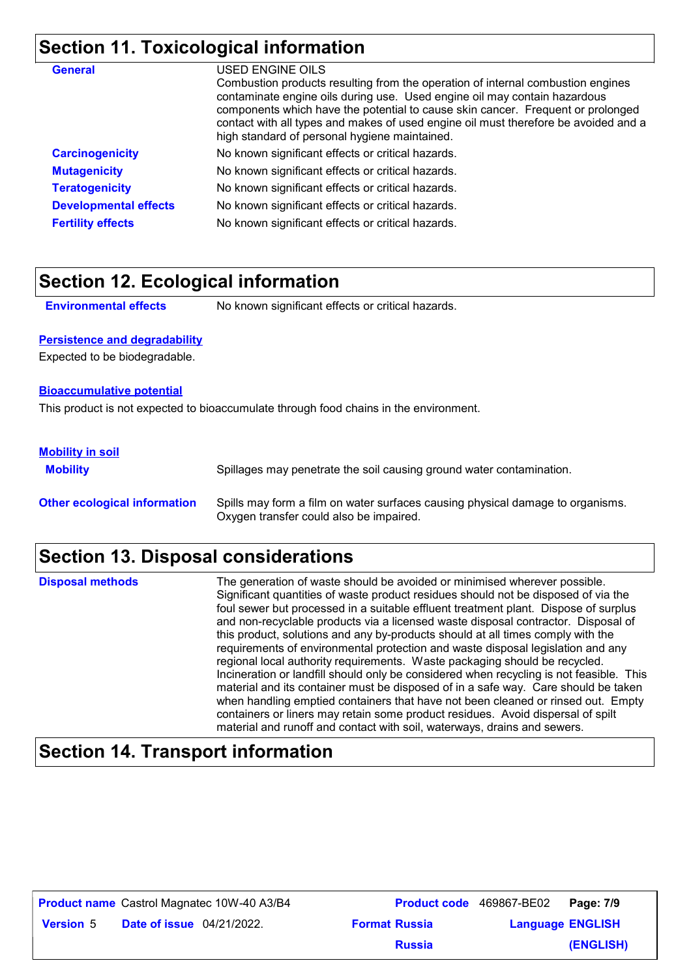# **Section 11. Toxicological information**

| <b>General</b>               | USED ENGINE OILS<br>Combustion products resulting from the operation of internal combustion engines<br>contaminate engine oils during use. Used engine oil may contain hazardous<br>components which have the potential to cause skin cancer. Frequent or prolonged<br>contact with all types and makes of used engine oil must therefore be avoided and a<br>high standard of personal hygiene maintained. |
|------------------------------|-------------------------------------------------------------------------------------------------------------------------------------------------------------------------------------------------------------------------------------------------------------------------------------------------------------------------------------------------------------------------------------------------------------|
| <b>Carcinogenicity</b>       | No known significant effects or critical hazards.                                                                                                                                                                                                                                                                                                                                                           |
| <b>Mutagenicity</b>          | No known significant effects or critical hazards.                                                                                                                                                                                                                                                                                                                                                           |
| <b>Teratogenicity</b>        | No known significant effects or critical hazards.                                                                                                                                                                                                                                                                                                                                                           |
| <b>Developmental effects</b> | No known significant effects or critical hazards.                                                                                                                                                                                                                                                                                                                                                           |
| <b>Fertility effects</b>     | No known significant effects or critical hazards.                                                                                                                                                                                                                                                                                                                                                           |

### **Section 12. Ecological information**

**Environmental effects** No known significant effects or critical hazards.

#### **Persistence and degradability**

Expected to be biodegradable.

#### **Bioaccumulative potential**

This product is not expected to bioaccumulate through food chains in the environment.

### **Mobility in soil**

| <b>Mobility</b>                     | Spillages may penetrate the soil causing ground water contamination.                                                      |
|-------------------------------------|---------------------------------------------------------------------------------------------------------------------------|
| <b>Other ecological information</b> | Spills may form a film on water surfaces causing physical damage to organisms.<br>Oxygen transfer could also be impaired. |

# **Section 13. Disposal considerations**

| <b>Disposal methods</b> | The generation of waste should be avoided or minimised wherever possible.<br>Significant quantities of waste product residues should not be disposed of via the<br>foul sewer but processed in a suitable effluent treatment plant. Dispose of surplus<br>and non-recyclable products via a licensed waste disposal contractor. Disposal of<br>this product, solutions and any by-products should at all times comply with the<br>requirements of environmental protection and waste disposal legislation and any<br>regional local authority requirements. Waste packaging should be recycled.<br>Incineration or landfill should only be considered when recycling is not feasible. This<br>material and its container must be disposed of in a safe way. Care should be taken<br>when handling emptied containers that have not been cleaned or rinsed out. Empty<br>containers or liners may retain some product residues. Avoid dispersal of spilt |
|-------------------------|---------------------------------------------------------------------------------------------------------------------------------------------------------------------------------------------------------------------------------------------------------------------------------------------------------------------------------------------------------------------------------------------------------------------------------------------------------------------------------------------------------------------------------------------------------------------------------------------------------------------------------------------------------------------------------------------------------------------------------------------------------------------------------------------------------------------------------------------------------------------------------------------------------------------------------------------------------|
|                         | material and runoff and contact with soil, waterways, drains and sewers.                                                                                                                                                                                                                                                                                                                                                                                                                                                                                                                                                                                                                                                                                                                                                                                                                                                                                |

### **Section 14. Transport information**

| <b>Product name</b> Castrol Magnatec 10W-40 A3/B4 |                                  |  | Product code 469867-BE02 | Page: 7/9               |           |
|---------------------------------------------------|----------------------------------|--|--------------------------|-------------------------|-----------|
| <b>Version 5</b>                                  | <b>Date of issue</b> 04/21/2022. |  | <b>Format Russia</b>     | <b>Language ENGLISH</b> |           |
|                                                   |                                  |  | <b>Russia</b>            |                         | (ENGLISH) |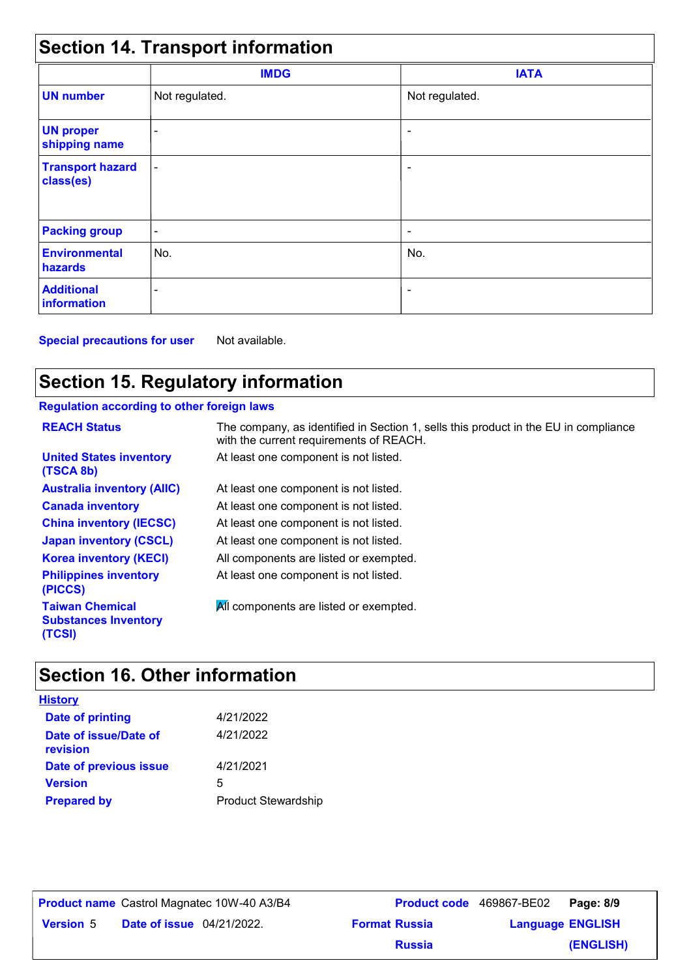| <b>Section 14. Transport information</b> |                          |                          |  |
|------------------------------------------|--------------------------|--------------------------|--|
|                                          | <b>IMDG</b>              | <b>IATA</b>              |  |
| <b>UN number</b>                         | Not regulated.           | Not regulated.           |  |
| <b>UN proper</b><br>shipping name        | ۰                        |                          |  |
| <b>Transport hazard</b><br>class(es)     | $\blacksquare$           |                          |  |
| <b>Packing group</b>                     | $\overline{\phantom{a}}$ | $\overline{\phantom{a}}$ |  |
| <b>Environmental</b><br>hazards          | No.                      | No.                      |  |
| <b>Additional</b><br>information         |                          |                          |  |

**Special precautions for user** Not available.

# **Section 15. Regulatory information**

### **Regulation according to other foreign laws**

| <b>REACH Status</b>                                             | The company, as identified in Section 1, sells this product in the EU in compliance<br>with the current requirements of REACH. |
|-----------------------------------------------------------------|--------------------------------------------------------------------------------------------------------------------------------|
| <b>United States inventory</b><br>(TSCA 8b)                     | At least one component is not listed.                                                                                          |
| <b>Australia inventory (AIIC)</b>                               | At least one component is not listed.                                                                                          |
| <b>Canada inventory</b>                                         | At least one component is not listed.                                                                                          |
| <b>China inventory (IECSC)</b>                                  | At least one component is not listed.                                                                                          |
| <b>Japan inventory (CSCL)</b>                                   | At least one component is not listed.                                                                                          |
| <b>Korea inventory (KECI)</b>                                   | All components are listed or exempted.                                                                                         |
| <b>Philippines inventory</b><br>(PICCS)                         | At least one component is not listed.                                                                                          |
| <b>Taiwan Chemical</b><br><b>Substances Inventory</b><br>(TCSI) | All components are listed or exempted.                                                                                         |

# **Section 16. Other information**

| <u>History</u>                    |                            |
|-----------------------------------|----------------------------|
| <b>Date of printing</b>           | 4/21/2022                  |
| Date of issue/Date of<br>revision | 4/21/2022                  |
| Date of previous issue            | 4/21/2021                  |
| <b>Version</b>                    | 5                          |
| <b>Prepared by</b>                | <b>Product Stewardship</b> |

| <b>Product name</b> Castrol Magnatec 10W-40 A3/B4 |                                  | <b>Product code</b> 469867-BE02 |                         | Page: 8/9 |
|---------------------------------------------------|----------------------------------|---------------------------------|-------------------------|-----------|
| <b>Version 5</b>                                  | <b>Date of issue</b> 04/21/2022. | <b>Format Russia</b>            | <b>Language ENGLISH</b> |           |
|                                                   |                                  | <b>Russia</b>                   |                         | (ENGLISH) |